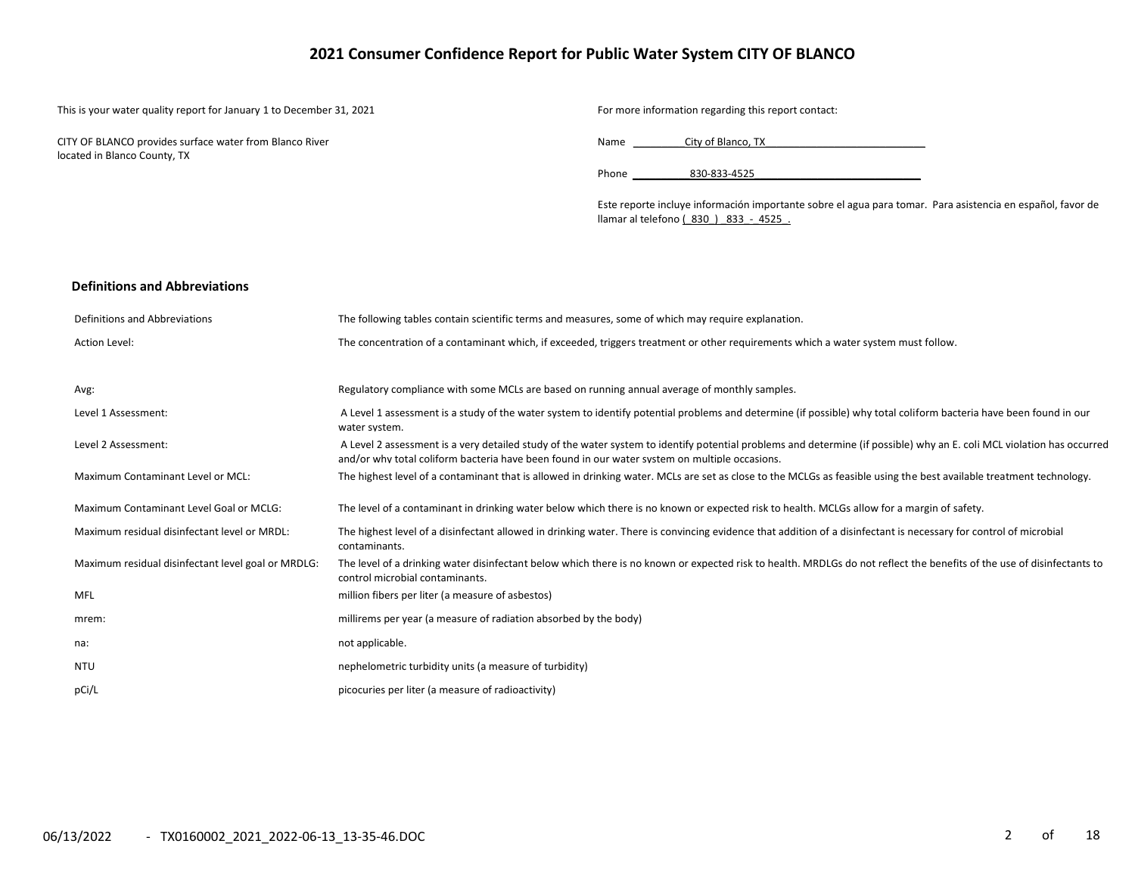# **2021 Consumer Confidence Report for Public Water System CITY OF BLANCO**

This is your water quality report for January 1 to December 31, 2021 For more information regarding this report contact:

CITY OF BLANCO provides surface water from Blanco River located in Blanco County, TX

Name \_\_\_\_\_\_\_\_\_City of Blanco, TX\_\_\_\_\_\_\_\_\_\_\_\_\_\_\_\_\_\_\_\_\_\_\_\_\_\_\_\_

Phone \_\_\_\_\_\_\_\_\_\_830-833-4525\_\_\_\_\_\_\_\_\_\_\_\_\_\_\_\_\_\_\_\_\_\_\_\_\_\_\_\_\_

Este reporte incluye información importante sobre el agua para tomar. Para asistencia en español, favor de llamar al telefono (830) 833 - 4525.

## **Definitions and Abbreviations**

| Definitions and Abbreviations                      | The following tables contain scientific terms and measures, some of which may require explanation.                                                                                                                                                                      |
|----------------------------------------------------|-------------------------------------------------------------------------------------------------------------------------------------------------------------------------------------------------------------------------------------------------------------------------|
| Action Level:                                      | The concentration of a contaminant which, if exceeded, triggers treatment or other requirements which a water system must follow.                                                                                                                                       |
|                                                    |                                                                                                                                                                                                                                                                         |
| Avg:                                               | Regulatory compliance with some MCLs are based on running annual average of monthly samples.                                                                                                                                                                            |
| Level 1 Assessment:                                | A Level 1 assessment is a study of the water system to identify potential problems and determine (if possible) why total coliform bacteria have been found in our<br>water system.                                                                                      |
| Level 2 Assessment:                                | A Level 2 assessment is a very detailed study of the water system to identify potential problems and determine (if possible) why an E. coli MCL violation has occurred<br>and/or why total coliform bacteria have been found in our water system on multiple occasions. |
| Maximum Contaminant Level or MCL:                  | The highest level of a contaminant that is allowed in drinking water. MCLs are set as close to the MCLGs as feasible using the best available treatment technology.                                                                                                     |
| Maximum Contaminant Level Goal or MCLG:            | The level of a contaminant in drinking water below which there is no known or expected risk to health. MCLGs allow for a margin of safety.                                                                                                                              |
| Maximum residual disinfectant level or MRDL:       | The highest level of a disinfectant allowed in drinking water. There is convincing evidence that addition of a disinfectant is necessary for control of microbial<br>contaminants.                                                                                      |
| Maximum residual disinfectant level goal or MRDLG: | The level of a drinking water disinfectant below which there is no known or expected risk to health. MRDLGs do not reflect the benefits of the use of disinfectants to<br>control microbial contaminants.                                                               |
| MFL                                                | million fibers per liter (a measure of asbestos)                                                                                                                                                                                                                        |
| mrem:                                              | millirems per year (a measure of radiation absorbed by the body)                                                                                                                                                                                                        |
| na:                                                | not applicable.                                                                                                                                                                                                                                                         |
| NTU                                                | nephelometric turbidity units (a measure of turbidity)                                                                                                                                                                                                                  |
| pCi/L                                              | picocuries per liter (a measure of radioactivity)                                                                                                                                                                                                                       |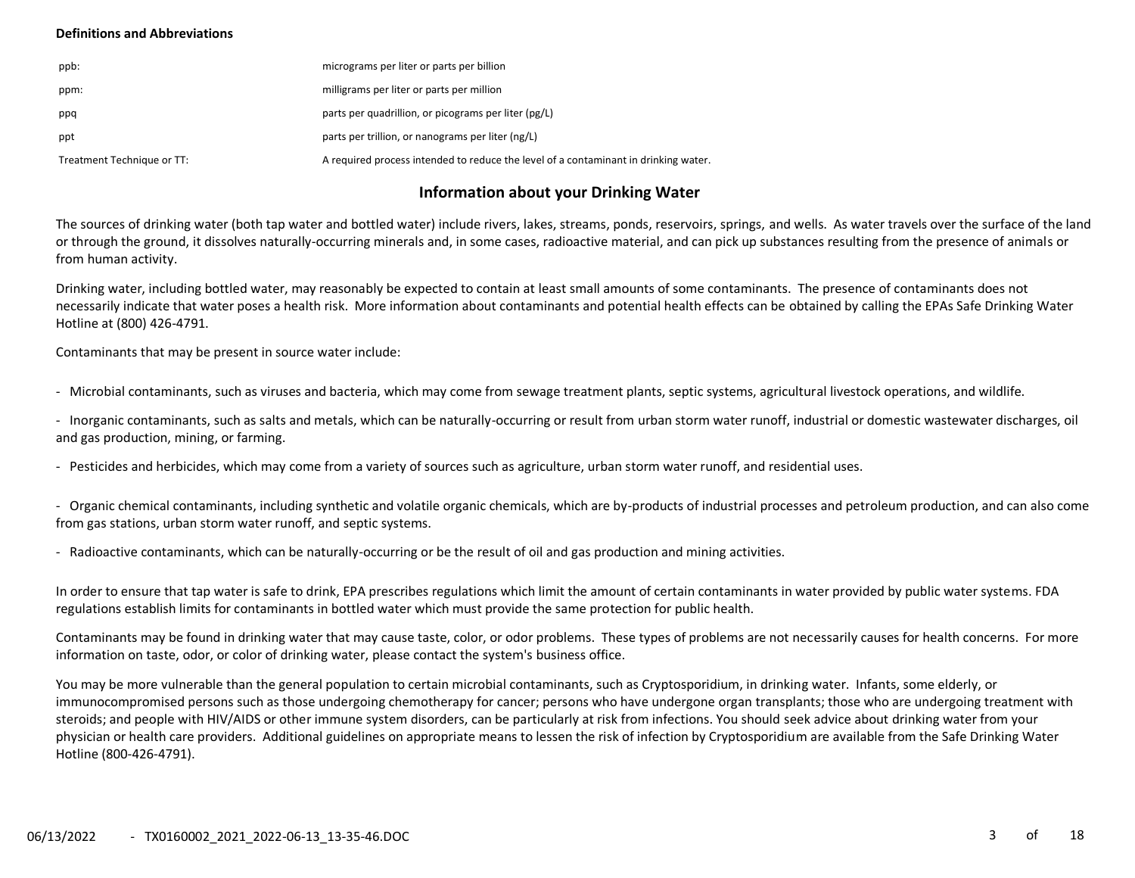### **Definitions and Abbreviations**

| ppb:                       | micrograms per liter or parts per billion                                           |
|----------------------------|-------------------------------------------------------------------------------------|
| ppm:                       | milligrams per liter or parts per million                                           |
| ppq                        | parts per quadrillion, or picograms per liter (pg/L)                                |
| ppt                        | parts per trillion, or nanograms per liter (ng/L)                                   |
| Treatment Technique or TT: | A required process intended to reduce the level of a contaminant in drinking water. |

# **Information about your Drinking Water**

The sources of drinking water (both tap water and bottled water) include rivers, lakes, streams, ponds, reservoirs, springs, and wells. As water travels over the surface of the land or through the ground, it dissolves naturally-occurring minerals and, in some cases, radioactive material, and can pick up substances resulting from the presence of animals or from human activity.

Drinking water, including bottled water, may reasonably be expected to contain at least small amounts of some contaminants. The presence of contaminants does not necessarily indicate that water poses a health risk. More information about contaminants and potential health effects can be obtained by calling the EPAs Safe Drinking Water Hotline at (800) 426-4791.

Contaminants that may be present in source water include:

- Microbial contaminants, such as viruses and bacteria, which may come from sewage treatment plants, septic systems, agricultural livestock operations, and wildlife.

- Inorganic contaminants, such as salts and metals, which can be naturally-occurring or result from urban storm water runoff, industrial or domestic wastewater discharges, oil and gas production, mining, or farming.

- Pesticides and herbicides, which may come from a variety of sources such as agriculture, urban storm water runoff, and residential uses.

- Organic chemical contaminants, including synthetic and volatile organic chemicals, which are by-products of industrial processes and petroleum production, and can also come from gas stations, urban storm water runoff, and septic systems.

- Radioactive contaminants, which can be naturally-occurring or be the result of oil and gas production and mining activities.

In order to ensure that tap water is safe to drink, EPA prescribes regulations which limit the amount of certain contaminants in water provided by public water systems. FDA regulations establish limits for contaminants in bottled water which must provide the same protection for public health.

Contaminants may be found in drinking water that may cause taste, color, or odor problems. These types of problems are not necessarily causes for health concerns. For more information on taste, odor, or color of drinking water, please contact the system's business office.

You may be more vulnerable than the general population to certain microbial contaminants, such as Cryptosporidium, in drinking water. Infants, some elderly, or immunocompromised persons such as those undergoing chemotherapy for cancer; persons who have undergone organ transplants; those who are undergoing treatment with steroids; and people with HIV/AIDS or other immune system disorders, can be particularly at risk from infections. You should seek advice about drinking water from your physician or health care providers. Additional guidelines on appropriate means to lessen the risk of infection by Cryptosporidium are available from the Safe Drinking Water Hotline (800-426-4791).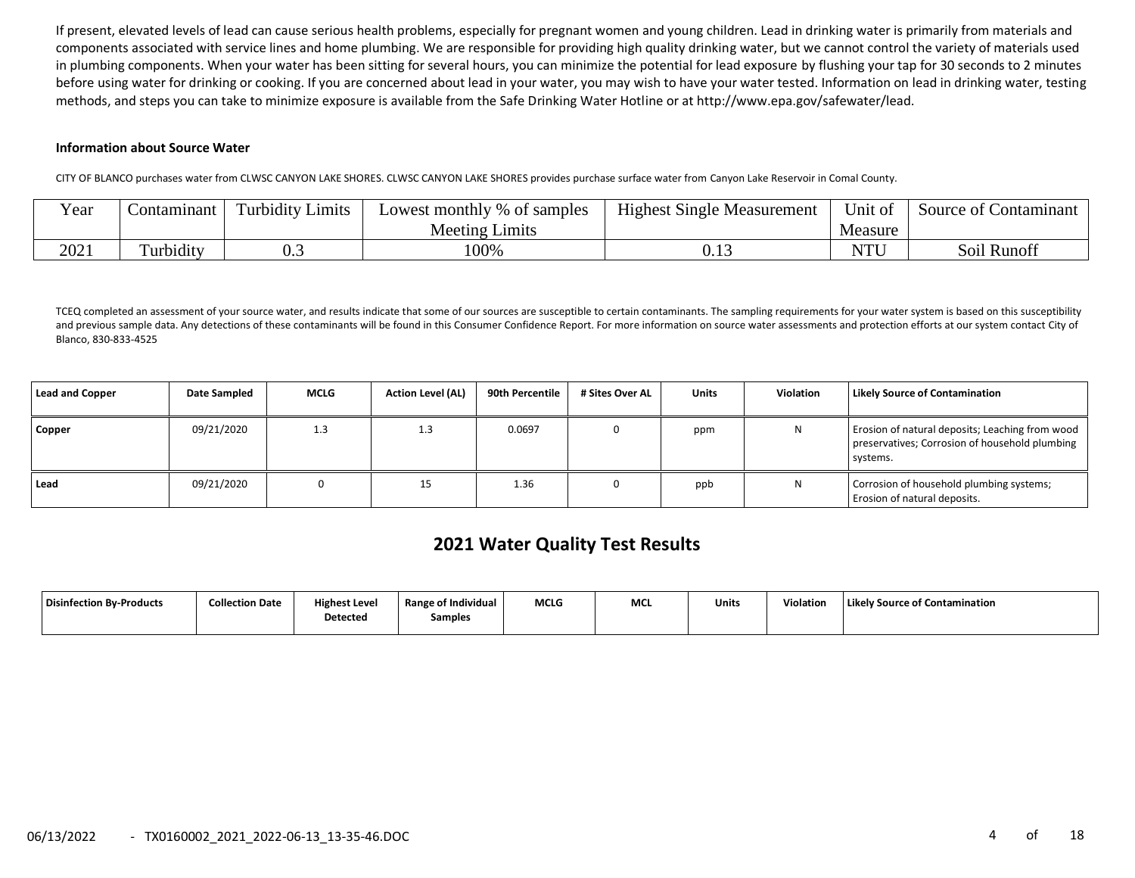If present, elevated levels of lead can cause serious health problems, especially for pregnant women and young children. Lead in drinking water is primarily from materials and components associated with service lines and home plumbing. We are responsible for providing high quality drinking water, but we cannot control the variety of materials used in plumbing components. When your water has been sitting for several hours, you can minimize the potential for lead exposure by flushing your tap for 30 seconds to 2 minutes before using water for drinking or cooking. If you are concerned about lead in your water, you may wish to have your water tested. Information on lead in drinking water, testing methods, and steps you can take to minimize exposure is available from the Safe Drinking Water Hotline or at http://www.epa.gov/safewater/lead.

#### **Information about Source Water**

CITY OF BLANCO purchases water from CLWSC CANYON LAKE SHORES. CLWSC CANYON LAKE SHORES provides purchase surface water from Canyon Lake Reservoir in Comal County.

| Year | `ontamınant                | .<br>l urbidity<br>Limits | Lowest monthly %<br>o of samples | <b>Highest Single Measurement</b> | Unit of          | Contamınant<br>Source of ' |
|------|----------------------------|---------------------------|----------------------------------|-----------------------------------|------------------|----------------------------|
|      |                            |                           | Meeting I<br>Lımıts              |                                   | Measure          |                            |
| 2021 | $\cdots$<br>—<br>`urbidity | ∪.∪                       | 100%                             | v. 1 J                            | $\sqrt{1 + \pi}$ | SOI<br>Runot <sub>1</sub>  |

TCEQ completed an assessment of your source water, and results indicate that some of our sources are susceptible to certain contaminants. The sampling requirements for your water system is based on this susceptibility and previous sample data. Any detections of these contaminants will be found in this Consumer Confidence Report. For more information on source water assessments and protection efforts at our system contact City of Blanco, 830-833-4525

| <b>Lead and Copper</b> | Date Sampled | <b>MCLG</b> | Action Level (AL) | 90th Percentile | # Sites Over AL | <b>Units</b> | <b>Violation</b> | <b>Likely Source of Contamination</b>                                                                         |
|------------------------|--------------|-------------|-------------------|-----------------|-----------------|--------------|------------------|---------------------------------------------------------------------------------------------------------------|
| Copper                 | 09/21/2020   | 1.3         | 1.3               | 0.0697          |                 | ppm          |                  | Erosion of natural deposits; Leaching from wood<br>preservatives; Corrosion of household plumbing<br>systems. |
| Lead                   | 09/21/2020   |             | 15                | 1.36            |                 | ppb          | N                | Corrosion of household plumbing systems;<br>Erosion of natural deposits.                                      |

# **2021 Water Quality Test Results**

| Disinfection By-Products | <b>Collection Date</b> | <b>Highest Level</b><br><b>Detected</b> | Range of Individual<br>Samples | <b>MCLG</b> | MCL | Units | <b>Violation</b> | Likely Source of Contamination |
|--------------------------|------------------------|-----------------------------------------|--------------------------------|-------------|-----|-------|------------------|--------------------------------|
|                          |                        |                                         |                                |             |     |       |                  |                                |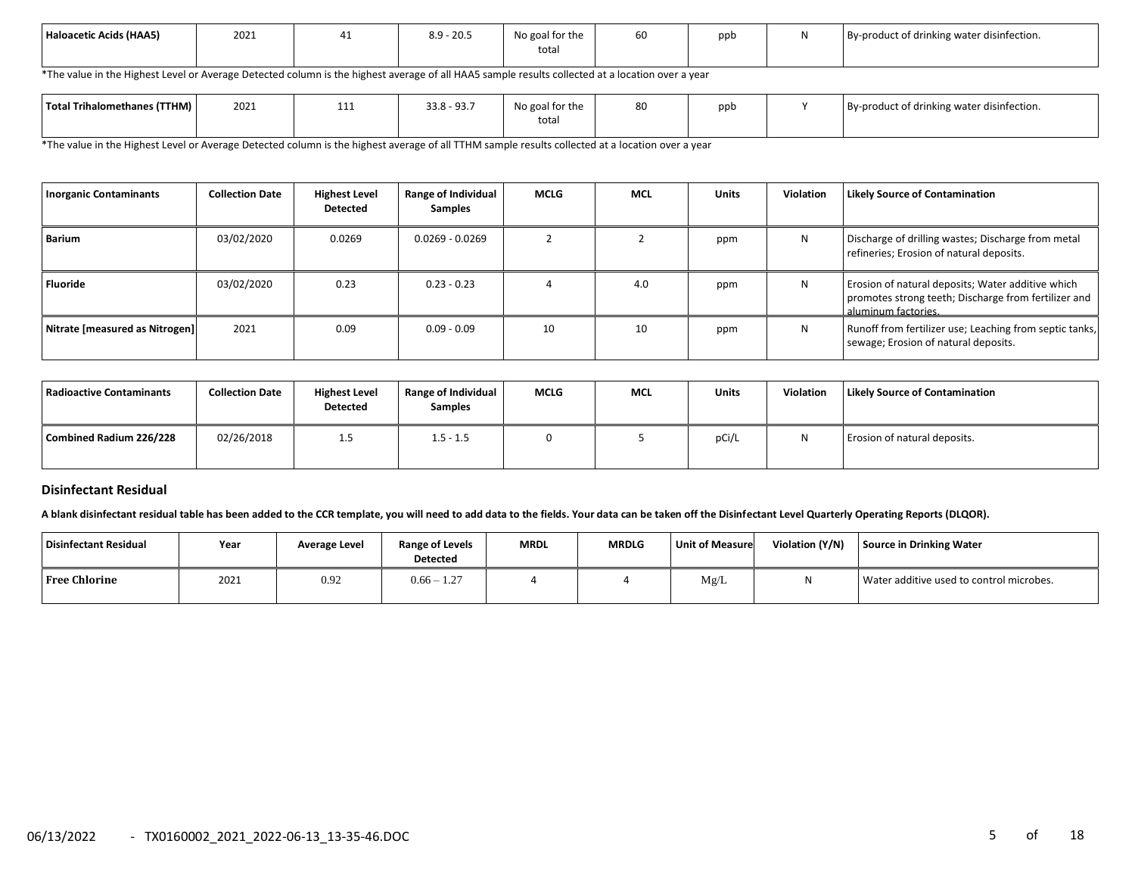| Haloacetic Acids (HAA5) | 2021 | … | $8.9 - 20.5$ | No goal for the<br>total | .or | ppb | By-product of drinking water disinfection. |
|-------------------------|------|---|--------------|--------------------------|-----|-----|--------------------------------------------|
|                         |      |   |              |                          |     |     |                                            |

\*The value in the Highest Level or Average Detected column is the highest average of all HAA5 sample results collected at a location over a year

| Total Trihalomethanes (TTHM) | 2021 | 11.<br>+++ | $33.8 - 93.7$ | No goal for the<br>total | 80 | ppb | .<br>By-product of drinking water disinfection. |
|------------------------------|------|------------|---------------|--------------------------|----|-----|-------------------------------------------------|
|                              |      |            |               |                          |    |     |                                                 |

\*The value in the Highest Level or Average Detected column is the highest average of all TTHM sample results collected at a location over a year

| <b>Inorganic Contaminants</b>  | <b>Collection Date</b> | <b>Highest Level</b><br>Detected | Range of Individual<br><b>Samples</b> | MCLG | <b>MCL</b> | <b>Units</b> | Violation | <b>Likely Source of Contamination</b>                                                                                            |
|--------------------------------|------------------------|----------------------------------|---------------------------------------|------|------------|--------------|-----------|----------------------------------------------------------------------------------------------------------------------------------|
| Barium                         | 03/02/2020             | 0.0269                           | $0.0269 - 0.0269$                     |      |            | ppm          | N         | Discharge of drilling wastes; Discharge from metal<br>refineries; Erosion of natural deposits.                                   |
| Fluoride                       | 03/02/2020             | 0.23                             | $0.23 - 0.23$                         |      | 4.0        | ppm          | N         | Erosion of natural deposits; Water additive which<br>promotes strong teeth; Discharge from fertilizer and<br>aluminum factories. |
| Nitrate [measured as Nitrogen] | 2021                   | 0.09                             | $0.09 - 0.09$                         | 10   | 10         | ppm          | N         | Runoff from fertilizer use; Leaching from septic tanks,<br>sewage; Erosion of natural deposits.                                  |

| Radioactive Contaminants | <b>Collection Date</b> | <b>Highest Level</b><br>Detected | Range of Individual<br><b>Samples</b> | <b>MCLG</b> | <b>MCL</b> | Units | <b>Violation</b> | Likely Source of Contamination |
|--------------------------|------------------------|----------------------------------|---------------------------------------|-------------|------------|-------|------------------|--------------------------------|
| Combined Radium 226/228  | 02/26/2018             | 1.5                              | $1.5 - 1.5$                           |             |            | pCi/L |                  | Erosion of natural deposits.   |

#### **Disinfectant Residual**

**A blank disinfectant residual table has been added to the CCR template, you will need to add data to the fields. Your data can be taken off the Disinfectant Level Quarterly Operating Reports (DLQOR).**

| Disinfectant Residual | Year | <b>Average Level</b> | <b>Range of Levels</b><br><b>Detected</b> | <b>MRDL</b> | <b>MRDLG</b> | Unit of Measure | Violation (Y/N) | Source in Drinking Water                 |
|-----------------------|------|----------------------|-------------------------------------------|-------------|--------------|-----------------|-----------------|------------------------------------------|
| <b>Free Chlorine</b>  | 2021 | 0.92                 | $0.66 - 1.27$                             |             |              | Mg/L            |                 | Water additive used to control microbes. |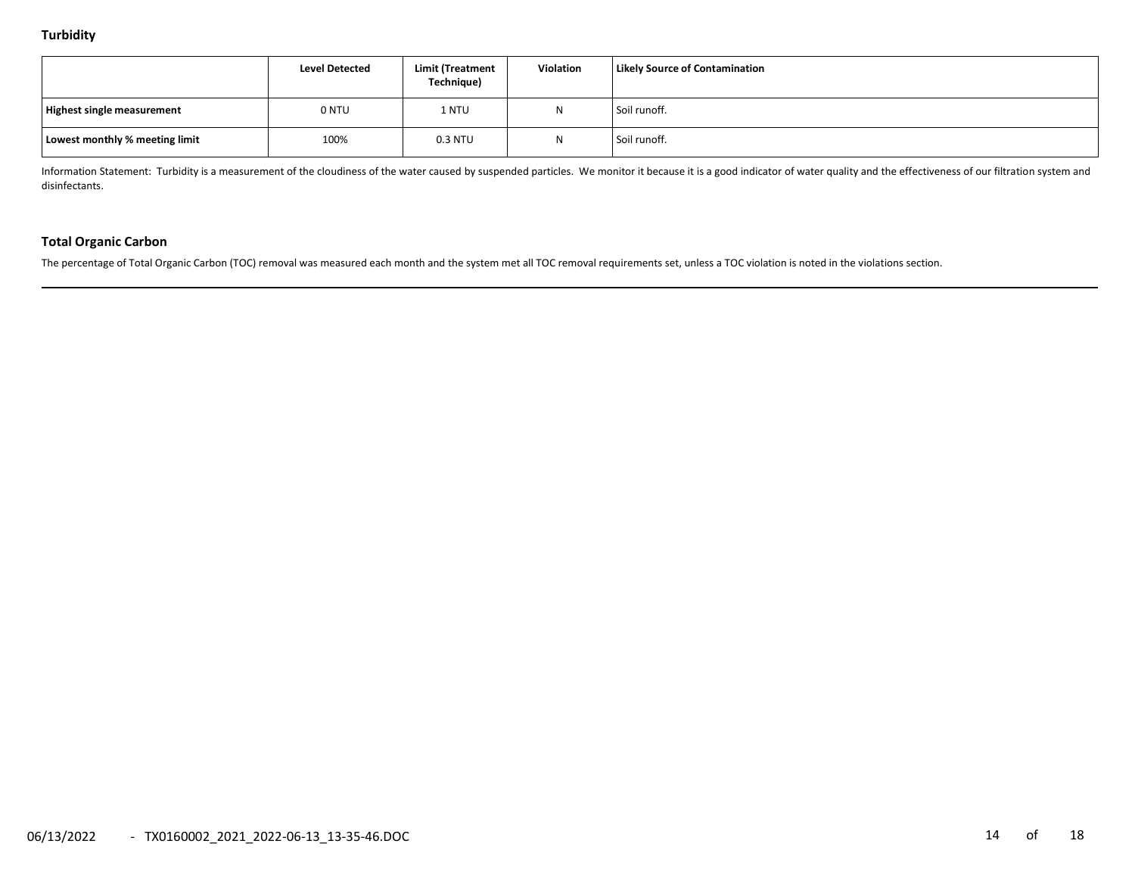|                                | <b>Level Detected</b> | Limit (Treatment<br>Technique) | <b>Violation</b> | <b>Likely Source of Contamination</b> |
|--------------------------------|-----------------------|--------------------------------|------------------|---------------------------------------|
| Highest single measurement     | 0 NTU                 | 1 NTU                          | N                | Soil runoff.                          |
| Lowest monthly % meeting limit | 100%                  | 0.3 NTU                        | N                | Soil runoff.                          |

Information Statement: Turbidity is a measurement of the cloudiness of the water caused by suspended particles. We monitor it because it is a good indicator of water quality and the effectiveness of our filtration system a disinfectants.

## **Total Organic Carbon**

The percentage of Total Organic Carbon (TOC) removal was measured each month and the system met all TOC removal requirements set, unless a TOC violation is noted in the violations section.